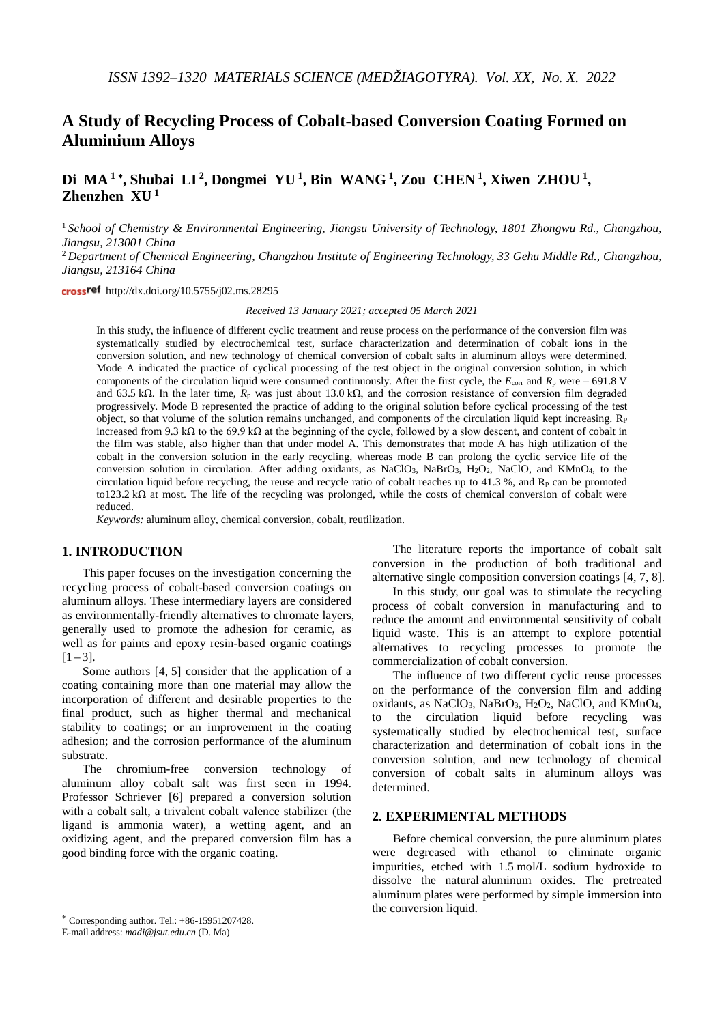# **A Study of Recycling Process of Cobalt-based Conversion Coating Formed on Aluminium Alloys**

**Di MA <sup>1</sup>** <sup>∗</sup>**, Shubai LI 2, Dongmei YU 1, Bin WANG 1, Zou CHEN 1, Xiwen ZHOU 1, Zhenzhen XU <sup>1</sup>**

<sup>1</sup> *School of Chemistry & Environmental Engineering, Jiangsu University of Technology, 1801 Zhongwu Rd., Changzhou, Jiangsu, 213001 China*

<sup>2</sup> *Department of Chemical Engineering, Changzhou Institute of Engineering Technology, 33 Gehu Middle Rd., Changzhou, Jiangsu, 213164 China*

crossref [http://dx.doi.org/10.5755/j02.ms.28295](http://dx.doi.org/10.XXXX/j01.xxxxxxx)

*Received 13 January 2021; accepted 05 March 2021*

In this study, the influence of different cyclic treatment and reuse process on the performance of the conversion film was systematically studied by electrochemical test, surface characterization and determination of cobalt ions in the conversion solution, and new technology of chemical conversion of cobalt salts in aluminum alloys were determined. Mode A indicated the practice of cyclical processing of the test object in the original conversion solution, in which components of the circulation liquid were consumed continuously. After the first cycle, the *E*corr and *R*<sup>p</sup> were – 691.8 V and 63.5 kΩ. In the later time,  $R_p$  was just about 13.0 kΩ, and the corrosion resistance of conversion film degraded progressively. Mode B represented the practice of adding to the original solution before cyclical processing of the test object, so that volume of the solution remains unchanged, and components of the circulation liquid kept increasing.  $R<sub>P</sub>$ increased from 9.3 kΩ to the 69.9 kΩ at the beginning of the cycle, followed by a slow descent, and content of cobalt in the film was stable, also higher than that under model A. This demonstrates that mode A has high utilization of the cobalt in the conversion solution in the early recycling, whereas mode B can prolong the cyclic service life of the conversion solution in circulation. After adding oxidants, as NaClO3, NaBrO3, H2O2, NaClO, and KMnO4, to the circulation liquid before recycling, the reuse and recycle ratio of cobalt reaches up to 41.3 %, and  $\mathbb{R}_p$  can be promoted to123.2 kΩ at most. The life of the recycling was prolonged, while the costs of chemical conversion of cobalt were reduced.

*Keywords:* aluminum alloy, chemical conversion, cobalt, reutilization.

## **1. INTRODUCTION**[∗](#page-0-0)

This paper focuses on the investigation concerning the recycling process of cobalt-based conversion coatings on aluminum alloys. These intermediary layers are considered as environmentally-friendly alternatives to chromate layers, generally used to promote the adhesion for ceramic, as well as for paints and epoxy resin-based organic coatings  $[1 - 3]$ .

Some authors [4, 5] consider that the application of a coating containing more than one material may allow the incorporation of different and desirable properties to the final product, such as higher thermal and mechanical stability to coatings; or an improvement in the coating adhesion; and the corrosion performance of the aluminum substrate.

The chromium-free conversion technology of aluminum alloy cobalt salt was first seen in 1994. Professor Schriever [6] prepared a conversion solution with a cobalt salt, a trivalent cobalt valence stabilizer (the ligand is ammonia water), a wetting agent, and an oxidizing agent, and the prepared conversion film has a good binding force with the organic coating.

<u>.</u>

The literature reports the importance of cobalt salt conversion in the production of both traditional and alternative single composition conversion coatings [4, 7, 8].

In this study, our goal was to stimulate the recycling process of cobalt conversion in manufacturing and to reduce the amount and environmental sensitivity of cobalt liquid waste. This is an attempt to explore potential alternatives to recycling processes to promote the commercialization of cobalt conversion.

The influence of two different cyclic reuse processes on the performance of the conversion film and adding oxidants, as NaClO<sub>3</sub>, NaBrO<sub>3</sub>, H<sub>2</sub>O<sub>2</sub>, NaClO, and KMnO<sub>4</sub>, to the circulation liquid before recycling was systematically studied by electrochemical test, surface characterization and determination of cobalt ions in the conversion solution, and new technology of chemical conversion of cobalt salts in aluminum alloys was determined.

## **2. EXPERIMENTAL METHODS**

Before chemical conversion, the pure aluminum plates were degreased with ethanol to eliminate organic impurities, etched with 1.5 mol/L sodium hydroxide to dissolve the natural aluminum oxides. The pretreated aluminum plates were performed by simple immersion into the conversion liquid.

<span id="page-0-0"></span><sup>∗</sup> Corresponding author. Tel.: +86-15951207428.

E-mail address: *madi@jsut.edu.cn* (D. Ma)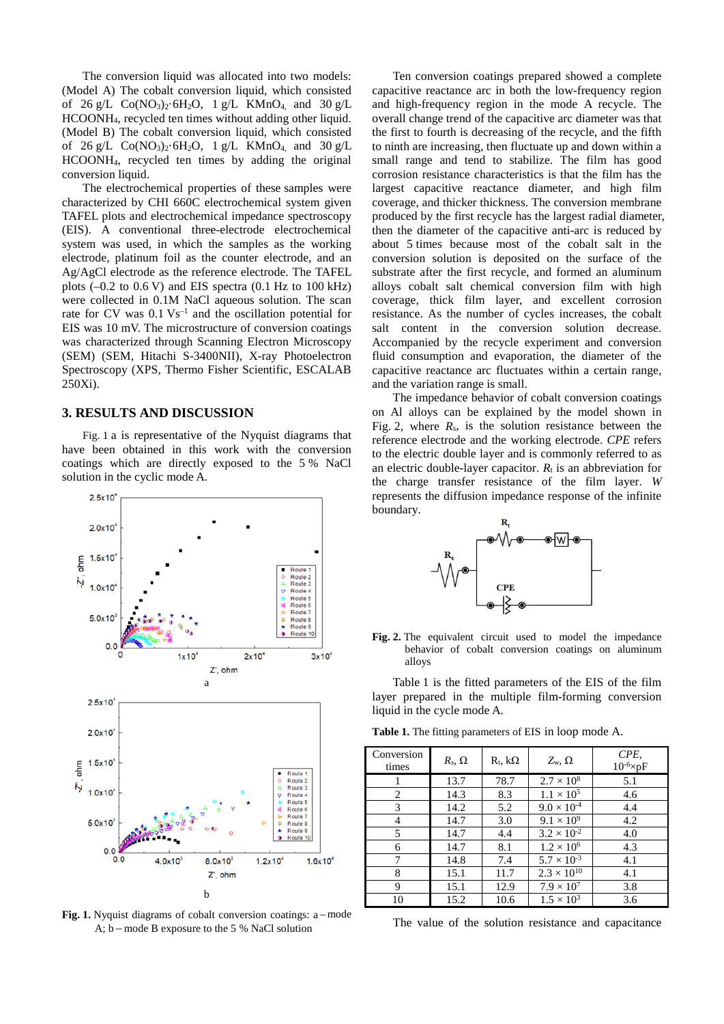The conversion liquid was allocated into two models: (Model A) The cobalt conversion liquid, which consisted of 26 g/L  $Co(NO_3)_2 \cdot 6H_2O$ , 1 g/L KMnO<sub>4</sub>, and 30 g/L HCOONH4, recycled ten times without adding other liquid. (Model B) The cobalt conversion liquid, which consisted of  $26 \text{ g/L}$  Co(NO<sub>3</sub>)<sub>2</sub>·6H<sub>2</sub>O, 1 g/L KMnO<sub>4</sub> and 30 g/L HCOONH4, recycled ten times by adding the original conversion liquid.

The electrochemical properties of these samples were characterized by CHI 660C electrochemical system given TAFEL plots and electrochemical impedance spectroscopy (EIS). A conventional three-electrode electrochemical system was used, in which the samples as the working electrode, platinum foil as the counter electrode, and an Ag/AgCl electrode as the reference electrode. The TAFEL plots  $(-0.2 \text{ to } 0.6 \text{ V})$  and EIS spectra  $(0.1 \text{ Hz to } 100 \text{ kHz})$ were collected in 0.1M NaCl aqueous solution. The scan rate for CV was  $0.1$  Vs<sup>-1</sup> and the oscillation potential for EIS was 10 mV. The microstructure of conversion coatings was characterized through Scanning Electron Microscopy (SEM) (SEM, Hitachi S-3400NII), X-ray Photoelectron Spectroscopy (XPS, Thermo Fisher Scientific, ESCALAB 250Xi).

#### **3. RESULTS AND DISCUSSION**

Fig. 1 a is representative of the Nyquist diagrams that have been obtained in this work with the conversion coatings which are directly exposed to the 5 % NaCl solution in the cyclic mode A.



**Fig. 1.** Nyquist diagrams of cobalt conversion coatings: a – mode A; b – mode B exposure to the 5 % NaCl solution

Ten conversion coatings prepared showed a complete capacitive reactance arc in both the low-frequency region and high-frequency region in the mode A recycle. The overall change trend of the capacitive arc diameter was that the first to fourth is decreasing of the recycle, and the fifth to ninth are increasing, then fluctuate up and down within a small range and tend to stabilize. The film has good corrosion resistance characteristics is that the film has the largest capacitive reactance diameter, and high film coverage, and thicker thickness. The conversion membrane produced by the first recycle has the largest radial diameter, then the diameter of the capacitive anti-arc is reduced by about 5 times because most of the cobalt salt in the conversion solution is deposited on the surface of the substrate after the first recycle, and formed an aluminum alloys cobalt salt chemical conversion film with high coverage, thick film layer, and excellent corrosion resistance. As the number of cycles increases, the cobalt salt content in the conversion solution decrease. Accompanied by the recycle experiment and conversion fluid consumption and evaporation, the diameter of the capacitive reactance arc fluctuates within a certain range, and the variation range is small.

The impedance behavior of cobalt conversion coatings on Al alloys can be explained by the model shown in Fig. 2, where  $R_s$ , is the solution resistance between the reference electrode and the working electrode. *CPE* refers to the electric double layer and is commonly referred to as an electric double-layer capacitor.  $R_t$  is an abbreviation for the charge transfer resistance of the film layer. *W* represents the diffusion impedance response of the infinite boundary.



**Fig. 2.** The equivalent circuit used to model the impedance behavior of cobalt conversion coatings on aluminum alloys

Table 1 is the fitted parameters of the EIS of the film layer prepared in the multiple film-forming conversion liquid in the cycle mode A.

| Conversion<br>times | $R_{\rm s}$ , $\Omega$ | $R_t$ , $k\Omega$ | $Z_{w}$ , $\Omega$   | CPE,<br>$10^{-6}$ ×pF |
|---------------------|------------------------|-------------------|----------------------|-----------------------|
|                     | 13.7                   | 78.7              | $2.7 \times 10^8$    | 5.1                   |
| 2                   | 14.3                   | 8.3               | $1.1 \times 10^{5}$  | 4.6                   |
| 3                   | 14.2                   | 5.2               | $9.0 \times 10^{-4}$ | 4.4                   |
| 4                   | 14.7                   | 3.0               | $9.1 \times 10^{9}$  | 4.2                   |
| 5                   | 14.7                   | 4.4               | $3.2 \times 10^{-2}$ | 4.0                   |
| 6                   | 14.7                   | 8.1               | $1.2 \times 10^6$    | 4.3                   |
| 7                   | 14.8                   | 7.4               | $5.7 \times 10^{-3}$ | 4.1                   |
| 8                   | 15.1                   | 11.7              | $2.3 \times 10^{10}$ | 4.1                   |
| 9                   | 15.1                   | 12.9              | $7.9 \times 10^7$    | 3.8                   |
| 10                  | 15.2                   | 10.6              | $1.5 \times 10^{3}$  | 3.6                   |

**Table 1.** The fitting parameters of EIS in loop mode A.

The value of the solution resistance and capacitance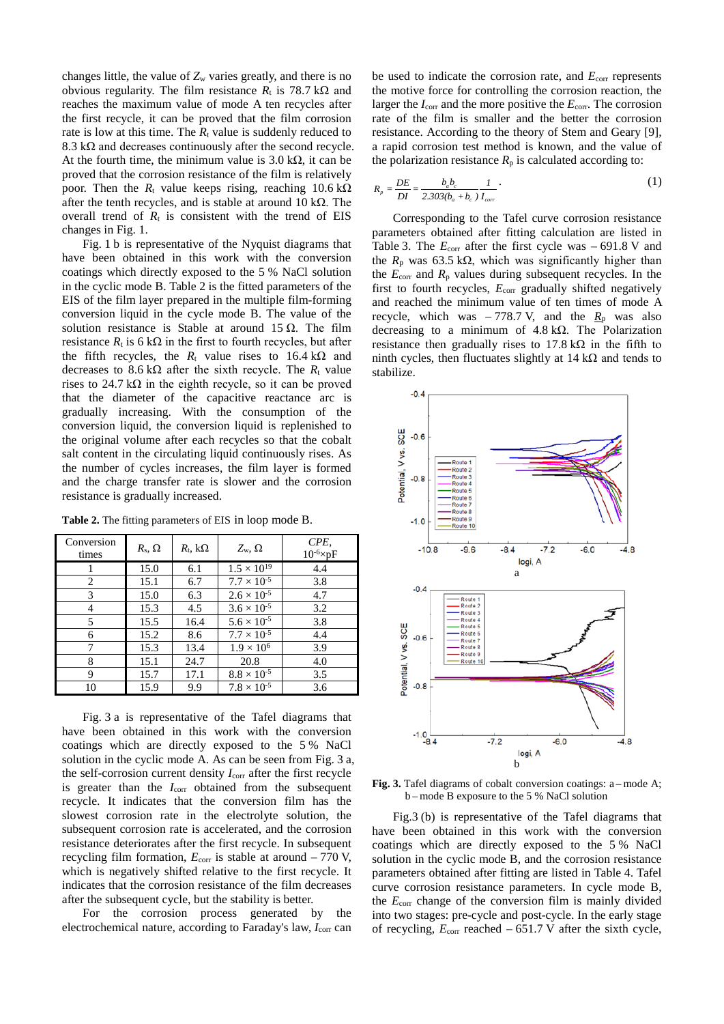changes little, the value of  $Z_w$  varies greatly, and there is no obvious regularity. The film resistance  $R_t$  is 78.7 kΩ and reaches the maximum value of mode A ten recycles after the first recycle, it can be proved that the film corrosion rate is low at this time. The  $R_t$  value is suddenly reduced to 8.3 k $\Omega$  and decreases continuously after the second recycle. At the fourth time, the minimum value is  $3.0 \text{ k}\Omega$ , it can be proved that the corrosion resistance of the film is relatively poor. Then the  $R_t$  value keeps rising, reaching 10.6 kΩ after the tenth recycles, and is stable at around 10 k $\Omega$ . The overall trend of  $R_t$  is consistent with the trend of EIS changes in Fig. 1.

Fig. 1 b is representative of the Nyquist diagrams that have been obtained in this work with the conversion coatings which directly exposed to the 5 % NaCl solution in the cyclic mode B. Table 2 is the fitted parameters of the EIS of the film layer prepared in the multiple film-forming conversion liquid in the cycle mode B. The value of the solution resistance is Stable at around 15  $\Omega$ . The film resistance  $R_t$  is 6 kΩ in the first to fourth recycles, but after the fifth recycles, the  $R_t$  value rises to 16.4 k $\Omega$  and decreases to 8.6 kΩ after the sixth recycle. The  $R_t$  value rises to 24.7 k $\Omega$  in the eighth recycle, so it can be proved that the diameter of the capacitive reactance arc is gradually increasing. With the consumption of the conversion liquid, the conversion liquid is replenished to the original volume after each recycles so that the cobalt salt content in the circulating liquid continuously rises. As the number of cycles increases, the film layer is formed and the charge transfer rate is slower and the corrosion resistance is gradually increased.

**Table 2.** The fitting parameters of EIS in loop mode B.

| Conversion<br>times | $R_{\rm s}$ , $\Omega$ | $R_{\rm t}$ , k $\Omega$ | $Z_{w}$ , $\Omega$   | CPE,<br>$10^{-6}$ $\times$ pF |
|---------------------|------------------------|--------------------------|----------------------|-------------------------------|
|                     | 15.0                   | 6.1                      | $1.5 \times 10^{19}$ | 4.4                           |
| 2                   | 15.1                   | 6.7                      | $7.7 \times 10^{-5}$ | 3.8                           |
| 3                   | 15.0                   | 6.3                      | $2.6 \times 10^{-5}$ | 4.7                           |
| 4                   | 15.3                   | 4.5                      | $3.6 \times 10^{-5}$ | 3.2                           |
| 5                   | 15.5                   | 16.4                     | $5.6 \times 10^{-5}$ | 3.8                           |
| 6                   | 15.2                   | 8.6                      | $7.7 \times 10^{-5}$ | 4.4                           |
| 7                   | 15.3                   | 13.4                     | $1.9 \times 10^{6}$  | 3.9                           |
| 8                   | 15.1                   | 24.7                     | 20.8                 | 4.0                           |
| 9                   | 15.7                   | 17.1                     | $8.8 \times 10^{-5}$ | 3.5                           |
| 10                  | 15.9                   | 9.9                      | $7.8 \times 10^{-5}$ | 3.6                           |

Fig. 3 a is representative of the Tafel diagrams that have been obtained in this work with the conversion coatings which are directly exposed to the 5 % NaCl solution in the cyclic mode A. As can be seen from Fig. 3 a, the self-corrosion current density  $I_{\text{corr}}$  after the first recycle is greater than the *I*<sub>corr</sub> obtained from the subsequent recycle. It indicates that the conversion film has the slowest corrosion rate in the electrolyte solution, the subsequent corrosion rate is accelerated, and the corrosion resistance deteriorates after the first recycle. In subsequent recycling film formation,  $E_{\text{corr}}$  is stable at around  $-770$  V, which is negatively shifted relative to the first recycle. It indicates that the corrosion resistance of the film decreases after the subsequent cycle, but the stability is better.

For the corrosion process generated by the electrochemical nature, according to Faraday's law, *I*<sub>corr</sub> can be used to indicate the corrosion rate, and  $E_{\text{corr}}$  represents the motive force for controlling the corrosion reaction, the larger the *I*corr and the more positive the *E*corr. The corrosion rate of the film is smaller and the better the corrosion resistance. According to the theory of Stem and Geary [9], a rapid corrosion test method is known, and the value of the polarization resistance  $R_p$  is calculated according to:

$$
R_p = \frac{DE}{DI} = \frac{b_a b_c}{2.303(b_a + b_c)} \frac{I}{I_{cor}}.
$$
 (1)

Corresponding to the Tafel curve corrosion resistance parameters obtained after fitting calculation are listed in Table 3. The  $E_{\text{corr}}$  after the first cycle was  $-691.8$  V and the  $R_p$  was 63.5 kΩ, which was significantly higher than the  $E_{\text{corr}}$  and  $R_{\text{p}}$  values during subsequent recycles. In the first to fourth recycles,  $E_{\text{corr}}$  gradually shifted negatively and reached the minimum value of ten times of mode A recycle, which was  $-778.7$  V, and the  $R_p$  was also decreasing to a minimum of 4.8 kΩ. The Polarization resistance then gradually rises to  $17.8 \text{ k}\Omega$  in the fifth to ninth cycles, then fluctuates slightly at 14 kΩ and tends to stabilize.



**Fig. 3.** Tafel diagrams of cobalt conversion coatings: a – mode A; b – mode B exposure to the 5 % NaCl solution

Fig.3 (b) is representative of the Tafel diagrams that have been obtained in this work with the conversion coatings which are directly exposed to the 5 % NaCl solution in the cyclic mode B, and the corrosion resistance parameters obtained after fitting are listed in Table 4. Tafel curve corrosion resistance parameters. In cycle mode B, the *E*corr change of the conversion film is mainly divided into two stages: pre-cycle and post-cycle. In the early stage of recycling,  $E_{\text{corr}}$  reached  $-651.7$  V after the sixth cycle,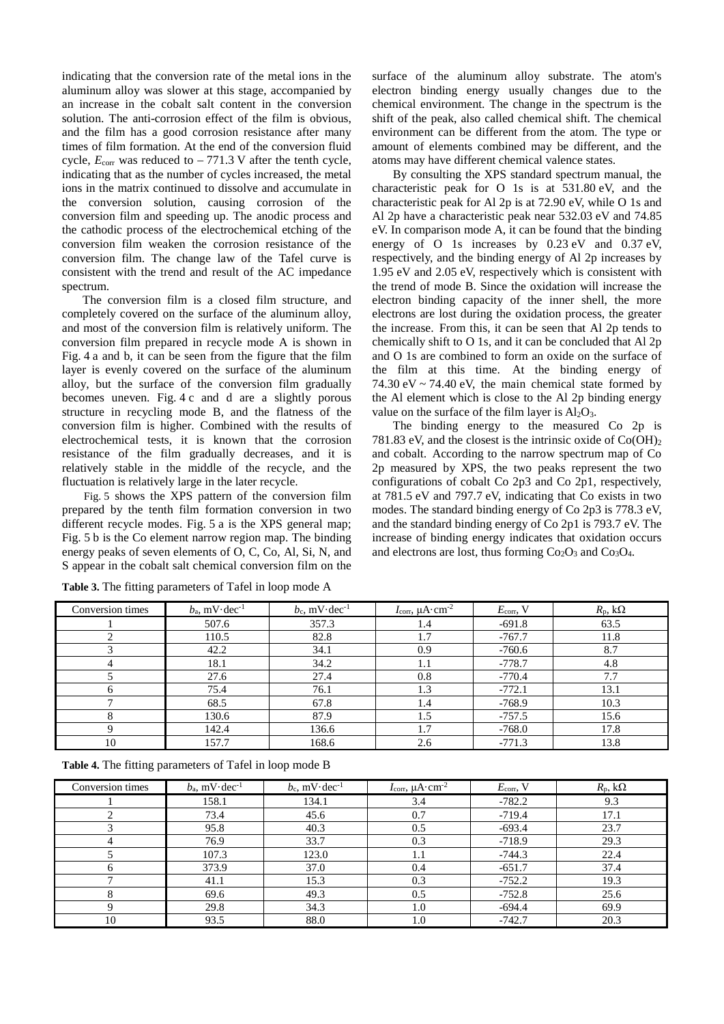indicating that the conversion rate of the metal ions in the aluminum alloy was slower at this stage, accompanied by an increase in the cobalt salt content in the conversion solution. The anti-corrosion effect of the film is obvious, and the film has a good corrosion resistance after many times of film formation. At the end of the conversion fluid cycle,  $E_{\text{corr}}$  was reduced to  $-771.3$  V after the tenth cycle, indicating that as the number of cycles increased, the metal ions in the matrix continued to dissolve and accumulate in the conversion solution, causing corrosion of the conversion film and speeding up. The anodic process and the cathodic process of the electrochemical etching of the conversion film weaken the corrosion resistance of the conversion film. The change law of the Tafel curve is consistent with the trend and result of the AC impedance spectrum.

The conversion film is a closed film structure, and completely covered on the surface of the aluminum alloy, and most of the conversion film is relatively uniform. The conversion film prepared in recycle mode A is shown in Fig. 4 a and b, it can be seen from the figure that the film layer is evenly covered on the surface of the aluminum alloy, but the surface of the conversion film gradually becomes uneven. Fig. 4 c and d are a slightly porous structure in recycling mode B, and the flatness of the conversion film is higher. Combined with the results of electrochemical tests, it is known that the corrosion resistance of the film gradually decreases, and it is relatively stable in the middle of the recycle, and the fluctuation is relatively large in the later recycle.

Fig. 5 shows the XPS pattern of the conversion film prepared by the tenth film formation conversion in two different recycle modes. Fig. 5 a is the XPS general map; Fig. 5 b is the Co element narrow region map. The binding energy peaks of seven elements of O, C, Co, Al, Si, N, and S appear in the cobalt salt chemical conversion film on the surface of the aluminum alloy substrate. The atom's electron binding energy usually changes due to the chemical environment. The change in the spectrum is the shift of the peak, also called chemical shift. The chemical environment can be different from the atom. The type or amount of elements combined may be different, and the atoms may have different chemical valence states.

By consulting the XPS standard spectrum manual, the characteristic peak for O 1s is at 531.80 eV, and the characteristic peak for Al 2p is at 72.90 eV, while O 1s and Al 2p have a characteristic peak near 532.03 eV and 74.85 eV. In comparison mode A, it can be found that the binding energy of O 1s increases by 0.23 eV and 0.37 eV, respectively, and the binding energy of Al 2p increases by 1.95 eV and 2.05 eV, respectively which is consistent with the trend of mode B. Since the oxidation will increase the electron binding capacity of the inner shell, the more electrons are lost during the oxidation process, the greater the increase. From this, it can be seen that Al 2p tends to chemically shift to O 1s, and it can be concluded that Al 2p and O 1s are combined to form an oxide on the surface of the film at this time. At the binding energy of 74.30 eV  $\sim$  74.40 eV, the main chemical state formed by the Al element which is close to the Al 2p binding energy value on the surface of the film layer is  $Al_2O_3$ .

The binding energy to the measured Co 2p is 781.83 eV, and the closest is the intrinsic oxide of  $Co(OH)<sub>2</sub>$ and cobalt. According to the narrow spectrum map of Co 2p measured by XPS, the two peaks represent the two configurations of cobalt Co 2p3 and Co 2p1, respectively, at 781.5 eV and 797.7 eV, indicating that Co exists in two modes. The standard binding energy of Co 2p3 is 778.3 eV, and the standard binding energy of Co 2p1 is 793.7 eV. The increase of binding energy indicates that oxidation occurs and electrons are lost, thus forming  $Co<sub>2</sub>O<sub>3</sub>$  and  $Co<sub>3</sub>O<sub>4</sub>$ .

| Conversion times | $b_a$ , mV $\cdot$ dec <sup>-1</sup> | $b_c$ , mV $\cdot$ dec <sup>-1</sup> | $I_{\text{corr}}$ , $\mu$ A·cm <sup>-2</sup> | $E_{\text{corr}}$ , V | $R_{\rm p}$ , k $\Omega$ |
|------------------|--------------------------------------|--------------------------------------|----------------------------------------------|-----------------------|--------------------------|
|                  | 507.6                                | 357.3                                | 1.4                                          | $-691.8$              | 63.5                     |
|                  | 110.5                                | 82.8                                 | 1.7                                          | $-767.7$              | 11.8                     |
|                  | 42.2                                 | 34.1                                 | 0.9                                          | $-760.6$              | 8.7                      |
| 4                | 18.1                                 | 34.2                                 | 1.1                                          | $-778.7$              | 4.8                      |
|                  | 27.6                                 | 27.4                                 | 0.8                                          | $-770.4$              | 7.7                      |
|                  | 75.4                                 | 76.1                                 | 1.3                                          | $-772.1$              | 13.1                     |
|                  | 68.5                                 | 67.8                                 | 1.4                                          | $-768.9$              | 10.3                     |
|                  | 130.6                                | 87.9                                 | 1.5                                          | $-757.5$              | 15.6                     |
| Q                | 142.4                                | 136.6                                | 1.7                                          | $-768.0$              | 17.8                     |
| 10               | 157.7                                | 168.6                                | 2.6                                          | $-771.3$              | 13.8                     |

**Table 3.** The fitting parameters of Tafel in loop mode A

**Table 4.** The fitting parameters of Tafel in loop mode B

| Conversion times | $b_a$ , mV $\cdot$ dec <sup>-1</sup> | $b_c$ , mV $\cdot$ dec <sup>-1</sup> | $I_{\rm corr}$ , $\mu A \cdot \text{cm}^{-2}$ | $E_{\text{corr}}$ , V | $R_{\rm p}$ , k $\Omega$ |
|------------------|--------------------------------------|--------------------------------------|-----------------------------------------------|-----------------------|--------------------------|
|                  | 158.1                                | 134.1                                | 3.4                                           | $-782.2$              | 9.3                      |
|                  | 73.4                                 | 45.6                                 | 0.7                                           | $-719.4$              | 17.1                     |
|                  | 95.8                                 | 40.3                                 | 0.5                                           | $-693.4$              | 23.7                     |
| 4                | 76.9                                 | 33.7                                 | 0.3                                           | $-718.9$              | 29.3                     |
|                  | 107.3                                | 123.0                                | 1.1                                           | $-744.3$              | 22.4                     |
|                  | 373.9                                | 37.0                                 | 0.4                                           | $-651.7$              | 37.4                     |
|                  | 41.1                                 | 15.3                                 | 0.3                                           | $-752.2$              | 19.3                     |
|                  | 69.6                                 | 49.3                                 | 0.5                                           | $-752.8$              | 25.6                     |
| Q                | 29.8                                 | 34.3                                 | 1.0                                           | $-694.4$              | 69.9                     |
| 10               | 93.5                                 | 88.0                                 | 1.0                                           | $-742.7$              | 20.3                     |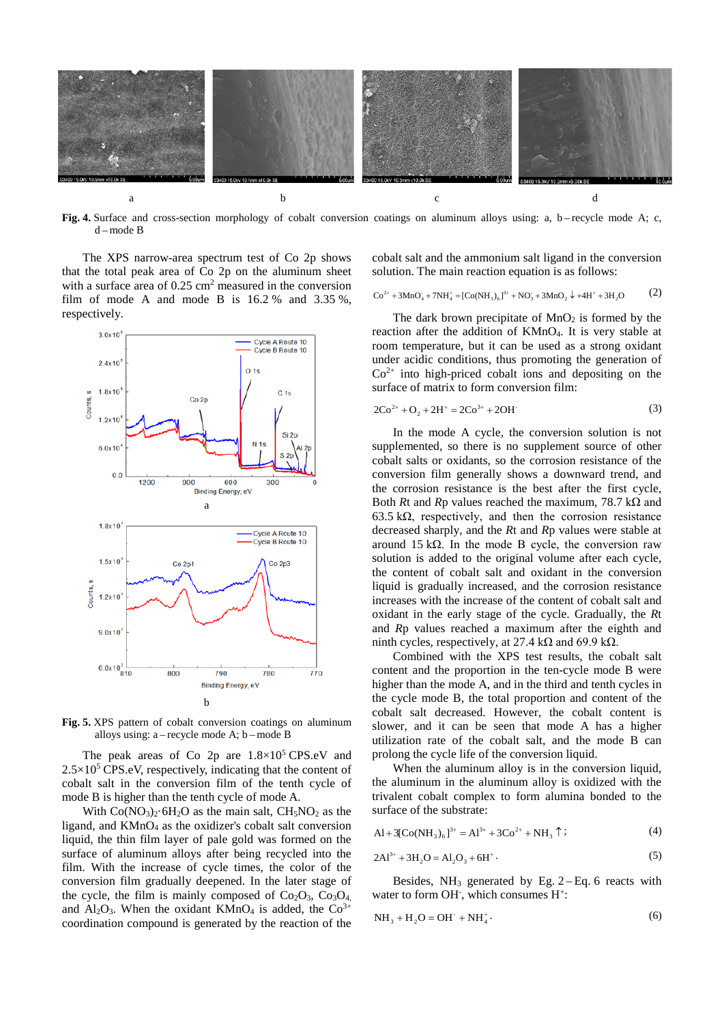

Fig. 4. Surface and cross-section morphology of cobalt conversion coatings on aluminum alloys using: a, b – recycle mode A; c, d – mode B

The XPS narrow-area spectrum test of Co 2p shows that the total peak area of Co 2p on the aluminum sheet with a surface area of 0.25 cm<sup>2</sup> measured in the conversion film of mode A and mode B is  $16.2 %$  and  $3.35 %$ , respectively.



**Fig. 5.** XPS pattern of cobalt conversion coatings on aluminum alloys using: a – recycle mode A; b – mode B

The peak areas of Co 2p are  $1.8 \times 10^5$  CPS.eV and  $2.5\times10^5$  CPS.eV, respectively, indicating that the content of cobalt salt in the conversion film of the tenth cycle of mode B is higher than the tenth cycle of mode A.

With  $Co(NO<sub>3</sub>)<sub>2</sub>·6H<sub>2</sub>O$  as the main salt,  $CH<sub>5</sub>NO<sub>2</sub>$  as the ligand, and  $KMnO<sub>4</sub>$  as the oxidizer's cobalt salt conversion liquid, the thin film layer of pale gold was formed on the surface of aluminum alloys after being recycled into the film. With the increase of cycle times, the color of the conversion film gradually deepened. In the later stage of the cycle, the film is mainly composed of  $Co<sub>2</sub>O<sub>3</sub>$ ,  $Co<sub>3</sub>O<sub>4</sub>$ , and  $Al_2O_3$ . When the oxidant KMnO<sub>4</sub> is added, the Co<sup>3+</sup> coordination compound is generated by the reaction of the

cobalt salt and the ammonium salt ligand in the conversion solution. The main reaction equation is as follows:

$$
\text{Co}^{2+} + 3\text{MnO}_4 + 7\text{NH}_4^+ = [\text{Co(NH}_3)_6]^{3+} + \text{NO}_3^- + 3\text{MnO}_2 \downarrow + 4\text{H}^+ + 3\text{H}_2\text{O}
$$
 (2)

The dark brown precipitate of  $MnO<sub>2</sub>$  is formed by the reaction after the addition of KMnO4. It is very stable at room temperature, but it can be used as a strong oxidant under acidic conditions, thus promoting the generation of  $Co<sup>2+</sup>$  into high-priced cobalt ions and depositing on the surface of matrix to form conversion film:

$$
2Co^{2+} + O_2 + 2H^+ = 2Co^{3+} + 2OH^-
$$
 (3)

In the mode A cycle, the conversion solution is not supplemented, so there is no supplement source of other cobalt salts or oxidants, so the corrosion resistance of the conversion film generally shows a downward trend, and the corrosion resistance is the best after the first cycle, Both *R*t and *R*p values reached the maximum, 78.7 kΩ and 63.5 kΩ, respectively, and then the corrosion resistance decreased sharply, and the *R*t and *R*p values were stable at around 15 kΩ. In the mode B cycle, the conversion raw solution is added to the original volume after each cycle, the content of cobalt salt and oxidant in the conversion liquid is gradually increased, and the corrosion resistance increases with the increase of the content of cobalt salt and oxidant in the early stage of the cycle. Gradually, the *R*t and *R*p values reached a maximum after the eighth and ninth cycles, respectively, at 27.4 kΩ and 69.9 kΩ.

Combined with the XPS test results, the cobalt salt content and the proportion in the ten-cycle mode B were higher than the mode A, and in the third and tenth cycles in the cycle mode B, the total proportion and content of the cobalt salt decreased. However, the cobalt content is slower, and it can be seen that mode A has a higher utilization rate of the cobalt salt, and the mode B can prolong the cycle life of the conversion liquid.

When the aluminum alloy is in the conversion liquid, the aluminum in the aluminum alloy is oxidized with the trivalent cobalt complex to form alumina bonded to the surface of the substrate:

$$
Al + 3[Co(NH3)6]3+ = Al3+ + 3Co2+ + NH3 \uparrow ;
$$
 (4)

$$
2Al^{3+} + 3H_2O = Al_2O_3 + 6H^+ \t\t(5)
$$

Besides,  $NH_3$  generated by Eg.  $2 - Eq. 6$  reacts with water to form OH<sup>-</sup>, which consumes H<sup>+</sup>:

$$
NH_3 + H_2O = OH^- + NH_4^+.
$$
 (6)